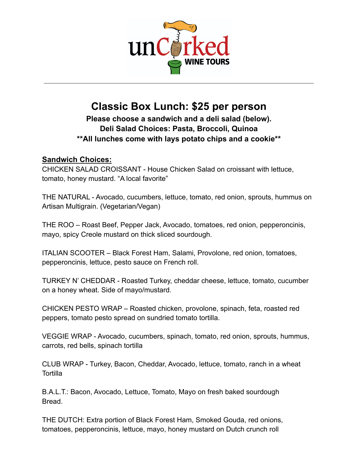

## **Classic Box Lunch: \$25 per person**

**Please choose a sandwich and a deli salad (below). Deli Salad Choices: Pasta, Broccoli, Quinoa \*\*All lunches come with lays potato chips and a cookie\*\***

### **Sandwich Choices:**

CHICKEN SALAD CROISSANT - House Chicken Salad on croissant with lettuce, tomato, honey mustard. "A local favorite"

THE NATURAL - Avocado, cucumbers, lettuce, tomato, red onion, sprouts, hummus on Artisan Multigrain. (Vegetarian/Vegan)

THE ROO – Roast Beef, Pepper Jack, Avocado, tomatoes, red onion, pepperoncinis, mayo, spicy Creole mustard on thick sliced sourdough.

ITALIAN SCOOTER – Black Forest Ham, Salami, Provolone, red onion, tomatoes, pepperoncinis, lettuce, pesto sauce on French roll.

TURKEY N' CHEDDAR - Roasted Turkey, cheddar cheese, lettuce, tomato, cucumber on a honey wheat. Side of mayo/mustard.

CHICKEN PESTO WRAP – Roasted chicken, provolone, spinach, feta, roasted red peppers, tomato pesto spread on sundried tomato tortilla.

VEGGIE WRAP - Avocado, cucumbers, spinach, tomato, red onion, sprouts, hummus, carrots, red bells, spinach tortilla

CLUB WRAP - Turkey, Bacon, Cheddar, Avocado, lettuce, tomato, ranch in a wheat **Tortilla** 

B.A.L.T.: Bacon, Avocado, Lettuce, Tomato, Mayo on fresh baked sourdough Bread.

THE DUTCH: Extra portion of Black Forest Ham, Smoked Gouda, red onions, tomatoes, pepperoncinis, lettuce, mayo, honey mustard on Dutch crunch roll